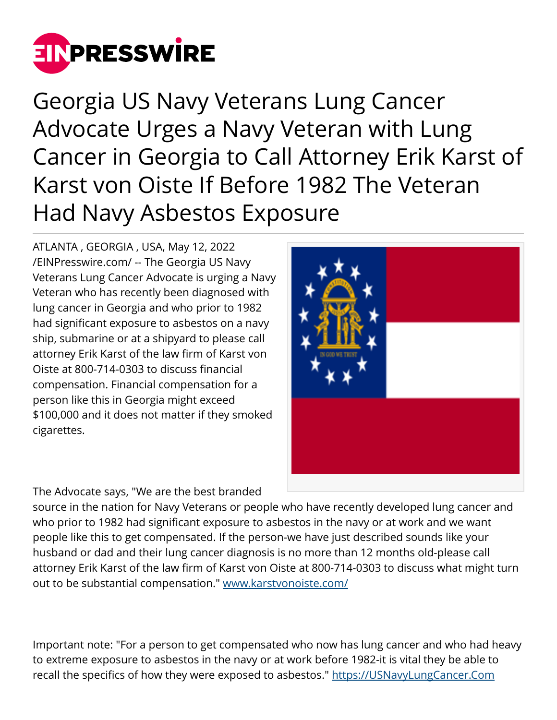

Georgia US Navy Veterans Lung Cancer Advocate Urges a Navy Veteran with Lung Cancer in Georgia to Call Attorney Erik Karst of Karst von Oiste If Before 1982 The Veteran Had Navy Asbestos Exposure

ATLANTA , GEORGIA , USA, May 12, 2022 [/EINPresswire.com/](http://www.einpresswire.com) -- The Georgia US Navy Veterans Lung Cancer Advocate is urging a Navy Veteran who has recently been diagnosed with lung cancer in Georgia and who prior to 1982 had significant exposure to asbestos on a navy ship, submarine or at a shipyard to please call attorney Erik Karst of the law firm of Karst von Oiste at 800-714-0303 to discuss financial compensation. Financial compensation for a person like this in Georgia might exceed \$100,000 and it does not matter if they smoked cigarettes.

The Advocate says, "We are the best branded

source in the nation for Navy Veterans or people who have recently developed lung cancer and who prior to 1982 had significant exposure to asbestos in the navy or at work and we want people like this to get compensated. If the person-we have just described sounds like your husband or dad and their lung cancer diagnosis is no more than 12 months old-please call attorney Erik Karst of the law firm of Karst von Oiste at 800-714-0303 to discuss what might turn out to be substantial compensation." [www.karstvonoiste.com/](http://www.karstvonoiste.com/)

Important note: "For a person to get compensated who now has lung cancer and who had heavy to extreme exposure to asbestos in the navy or at work before 1982-it is vital they be able to recall the specifics of how they were exposed to asbestos." <https://USNavyLungCancer.Com>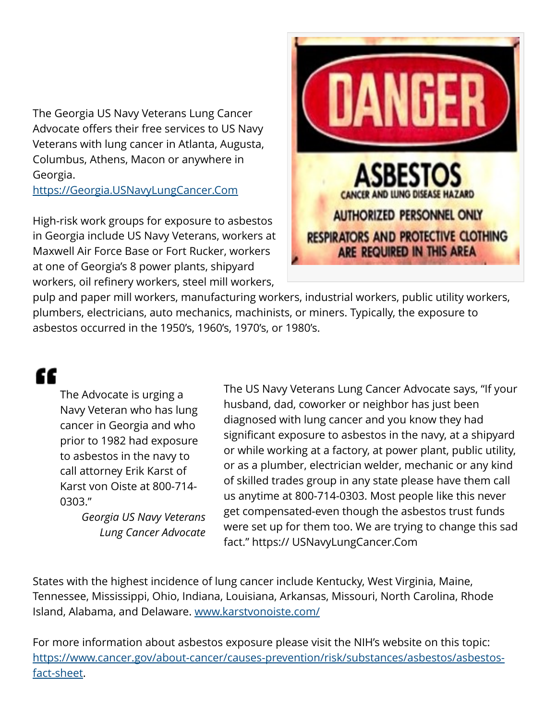The Georgia US Navy Veterans Lung Cancer Advocate offers their free services to US Navy Veterans with lung cancer in Atlanta, Augusta, Columbus, Athens, Macon or anywhere in Georgia.

<https://Georgia.USNavyLungCancer.Com>

High-risk work groups for exposure to asbestos in Georgia include US Navy Veterans, workers at Maxwell Air Force Base or Fort Rucker, workers at one of Georgia's 8 power plants, shipyard workers, oil refinery workers, steel mill workers,



pulp and paper mill workers, manufacturing workers, industrial workers, public utility workers, plumbers, electricians, auto mechanics, machinists, or miners. Typically, the exposure to asbestos occurred in the 1950's, 1960's, 1970's, or 1980's.

## "

The Advocate is urging a Navy Veteran who has lung cancer in Georgia and who prior to 1982 had exposure to asbestos in the navy to call attorney Erik Karst of Karst von Oiste at 800-714- 0303."

> *Georgia US Navy Veterans Lung Cancer Advocate*

The US Navy Veterans Lung Cancer Advocate says, "If your husband, dad, coworker or neighbor has just been diagnosed with lung cancer and you know they had significant exposure to asbestos in the navy, at a shipyard or while working at a factory, at power plant, public utility, or as a plumber, electrician welder, mechanic or any kind of skilled trades group in any state please have them call us anytime at 800-714-0303. Most people like this never get compensated-even though the asbestos trust funds were set up for them too. We are trying to change this sad fact." https:// USNavyLungCancer.Com

States with the highest incidence of lung cancer include Kentucky, West Virginia, Maine, Tennessee, Mississippi, Ohio, Indiana, Louisiana, Arkansas, Missouri, North Carolina, Rhode Island, Alabama, and Delaware. [www.karstvonoiste.com/](http://www.karstvonoiste.com/)

For more information about asbestos exposure please visit the NIH's website on this topic: [https://www.cancer.gov/about-cancer/causes-prevention/risk/substances/asbestos/asbestos](https://www.cancer.gov/about-cancer/causes-prevention/risk/substances/asbestos/asbestos-fact-sheet)[fact-sheet](https://www.cancer.gov/about-cancer/causes-prevention/risk/substances/asbestos/asbestos-fact-sheet).